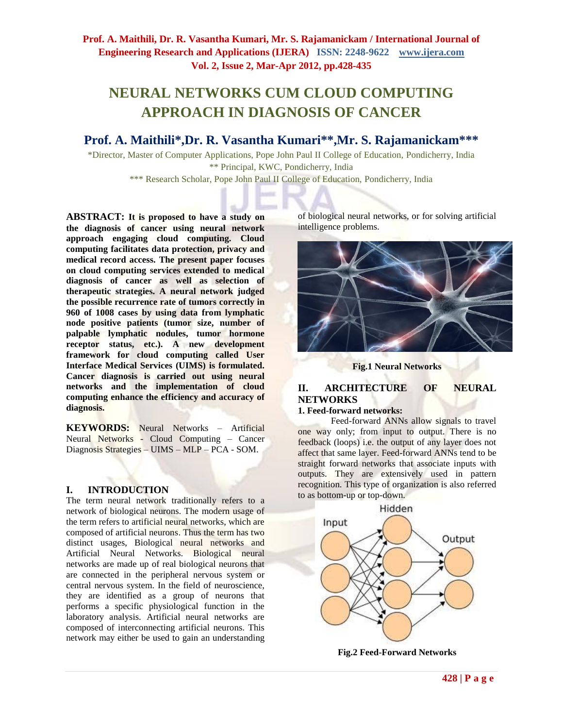# **NEURAL NETWORKS CUM CLOUD COMPUTING APPROACH IN DIAGNOSIS OF CANCER**

# **Prof. A. Maithili\*,Dr. R. Vasantha Kumari\*\*,Mr. S. Rajamanickam\*\*\***

\*Director, Master of Computer Applications, Pope John Paul II College of Education, Pondicherry, India \*\* Principal, KWC, Pondicherry, India

\*\*\* Research Scholar, Pope John Paul II College of Education, Pondicherry, India

**ABSTRACT: It is proposed to have a study on the diagnosis of cancer using neural network approach engaging cloud computing. Cloud computing facilitates data protection, privacy and medical record access. The present paper focuses on cloud computing services extended to medical diagnosis of cancer as well as selection of therapeutic strategies. A neural network judged the possible recurrence rate of tumors correctly in 960 of 1008 cases by using data from lymphatic node positive patients (tumor size, number of palpable lymphatic nodules, tumor hormone receptor status, etc.). A new development framework for cloud computing called User Interface Medical Services (UIMS) is formulated. Cancer diagnosis is carried out using neural networks and the implementation of cloud computing enhance the efficiency and accuracy of diagnosis.**

**KEYWORDS:** Neural Networks – Artificial Neural Networks - Cloud Computing – Cancer Diagnosis Strategies – UIMS – MLP – PCA - SOM.

# **I. INTRODUCTION**

The term neural network traditionally refers to a network of biological neurons. The modern usage of the term refers to artificial neural networks, which are composed of artificial neurons. Thus the term has two distinct usages, Biological neural networks and Artificial Neural Networks. Biological neural networks are made up of real biological neurons that are connected in the peripheral nervous system or central nervous system. In the field of neuroscience, they are identified as a group of neurons that performs a specific physiological function in the laboratory analysis. Artificial neural networks are composed of interconnecting artificial neurons. This network may either be used to gain an understanding

of biological neural networks, or for solving artificial intelligence problems.



**Fig.1 Neural Networks**

# **II. ARCHITECTURE OF NEURAL NETWORKS**

#### **1. Feed-forward networks:**

Feed-forward ANNs allow signals to travel one way only; from input to output. There is no feedback (loops) i.e. the output of any layer does not affect that same layer. Feed-forward ANNs tend to be straight forward networks that associate inputs with outputs. They are extensively used in pattern recognition. This type of organization is also referred to as bottom-up or top-down.



**Fig.2 Feed-Forward Networks**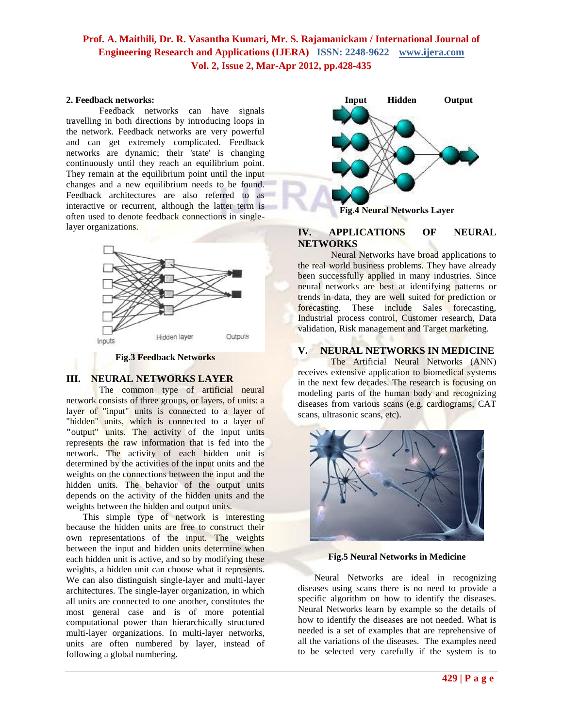#### **2. Feedback networks:**

Feedback networks can have signals travelling in both directions by introducing loops in the network. Feedback networks are very powerful and can get extremely complicated. Feedback networks are dynamic; their 'state' is changing continuously until they reach an equilibrium point. They remain at the equilibrium point until the input changes and a new equilibrium needs to be found. Feedback architectures are also referred to as interactive or recurrent, although the latter term is often used to denote feedback connections in singlelayer organizations.



**Fig.3 Feedback Networks**

### **III. NEURAL NETWORKS LAYER**

The common type of artificial neural network consists of three groups, or layers, of units: a layer of "input" units is connected to a layer of "hidden" units, which is connected to a layer of **"**output" units. The activity of the input units represents the raw information that is fed into the network. The activity of each hidden unit is determined by the activities of the input units and the weights on the connections between the input and the hidden units. The behavior of the output units depends on the activity of the hidden units and the weights between the hidden and output units.

This simple type of network is interesting because the hidden units are free to construct their own representations of the input. The weights between the input and hidden units determine when each hidden unit is active, and so by modifying these weights, a hidden unit can choose what it represents. We can also distinguish single-layer and multi-layer architectures. The single-layer organization, in which all units are connected to one another, constitutes the most general case and is of more potential computational power than hierarchically structured multi-layer organizations. In multi-layer networks, units are often numbered by layer, instead of following a global numbering.



# **IV. APPLICATIONS OF NEURAL NETWORKS**

Neural Networks have broad applications to the real world business problems. They have already been successfully applied in many industries. Since neural networks are best at identifying patterns or trends in data, they are well suited for prediction or forecasting. These include Sales forecasting, Industrial process control, Customer research, Data validation, Risk management and Target marketing.

### **V. NEURAL NETWORKS IN MEDICINE**

The Artificial Neural Networks (ANN) receives extensive application to biomedical systems in the next few decades. The research is focusing on modeling parts of the human body and recognizing diseases from various scans (e.g. cardiograms, CAT scans, ultrasonic scans, etc).



**Fig.5 Neural Networks in Medicine**

Neural Networks are ideal in recognizing diseases using scans there is no need to provide a specific algorithm on how to identify the diseases. Neural Networks learn by example so the details of how to identify the diseases are not needed. What is needed is a set of examples that are reprehensive of all the variations of the diseases. The examples need to be selected very carefully if the system is to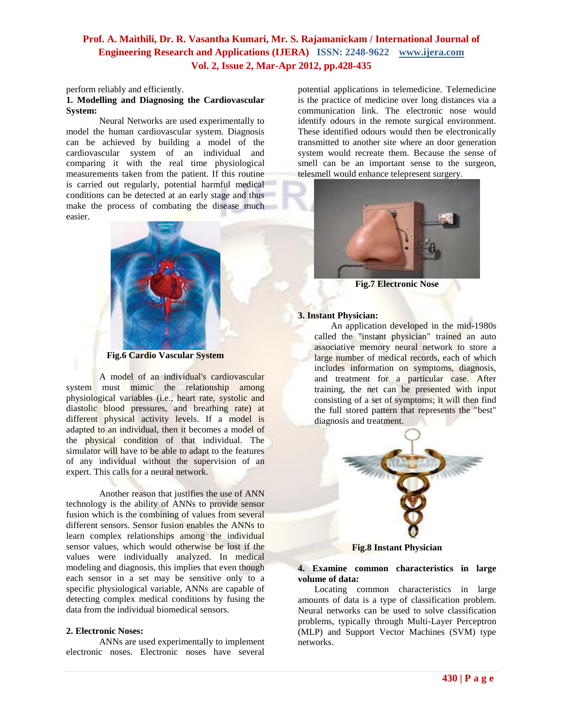perform reliably and efficiently.

#### **1. Modelling and Diagnosing the Cardiovascular System:**

Neural Networks are used experimentally to model the human cardiovascular system. Diagnosis can be achieved by building a model of the cardiovascular system of an individual and comparing it with the real time physiological measurements taken from the patient. If this routine is carried out regularly, potential harmful medical conditions can be detected at an early stage and thus make the process of combating the disease much easier.



**Fig.6 Cardio Vascular System**

A model of an individual's cardiovascular system must mimic the relationship among physiological variables (i.e., heart rate, systolic and diastolic blood pressures, and breathing rate) at different physical activity levels. If a model is adapted to an individual, then it becomes a model of the physical condition of that individual. The simulator will have to be able to adapt to the features of any individual without the supervision of an expert. This calls for a neural network.

Another reason that justifies the use of ANN technology is the ability of ANNs to provide sensor fusion which is the combining of values from several different sensors. Sensor fusion enables the ANNs to learn complex relationships among the individual sensor values, which would otherwise be lost if the values were individually analyzed. In medical modeling and diagnosis, this implies that even though each sensor in a set may be sensitive only to a specific physiological variable, ANNs are capable of detecting complex medical conditions by fusing the data from the individual biomedical sensors.

#### **2. Electronic Noses:**

ANNs are used experimentally to implement electronic noses. Electronic noses have several

potential applications in telemedicine. Telemedicine is the practice of medicine over long distances via a communication link. The electronic nose would identify odours in the remote surgical environment. These identified odours would then be electronically transmitted to another site where an door generation system would recreate them. Because the sense of smell can be an important sense to the surgeon, telesmell would enhance telepresent surgery.



**Fig.7 Electronic Nose**

#### **3. Instant Physician:**

An application developed in the mid-1980s called the "instant physician" trained an auto associative memory neural network to store a large number of medical records, each of which includes information on symptoms, diagnosis, and treatment for a particular case. After training, the net can be presented with input consisting of a set of symptoms; it will then find the full stored pattern that represents the "best" diagnosis and treatment.



**Fig.8 Instant Physician**

#### **4. Examine common characteristics in large volume of data:**

Locating common characteristics in large amounts of data is a type of classification problem. Neural networks can be used to solve classification problems, typically through Multi-Layer Perceptron (MLP) and Support Vector Machines (SVM) type networks.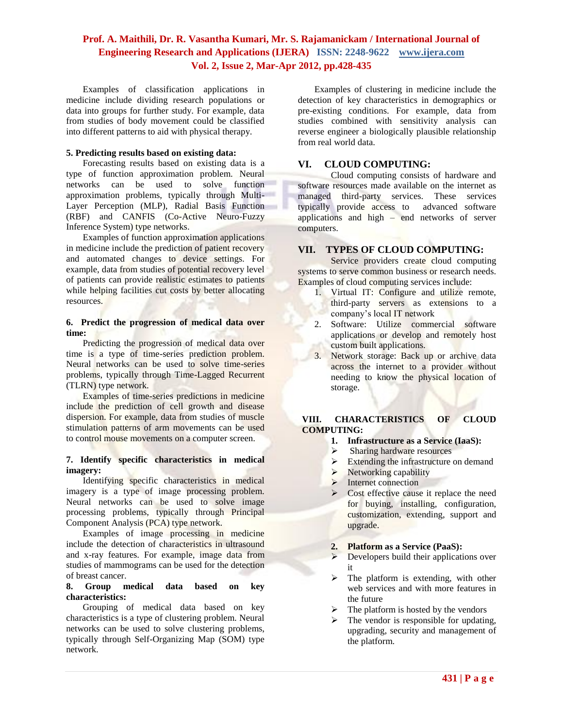Examples of classification applications in medicine include dividing research populations or data into groups for further study. For example, data from studies of body movement could be classified into different patterns to aid with physical therapy.

#### **5. Predicting results based on existing data:**

Forecasting results based on existing data is a type of function approximation problem. Neural networks can be used to solve function approximation problems, typically through Multi-Layer Perception (MLP), Radial Basis Function (RBF) and CANFIS (Co-Active Neuro-Fuzzy Inference System) type networks.

Examples of function approximation applications in medicine include the prediction of patient recovery and automated changes to device settings. For example, data from studies of potential recovery level of patients can provide realistic estimates to patients while helping facilities cut costs by better allocating resources.

#### **6. Predict the progression of medical data over time:**

Predicting the progression of medical data over time is a type of time-series prediction problem. Neural networks can be used to solve time-series problems, typically through Time-Lagged Recurrent (TLRN) type network.

Examples of time-series predictions in medicine include the prediction of cell growth and disease dispersion. For example, data from studies of muscle stimulation patterns of arm movements can be used to control mouse movements on a computer screen.

#### **7. Identify specific characteristics in medical imagery:**

Identifying specific characteristics in medical imagery is a type of image processing problem. Neural networks can be used to solve image processing problems, typically through Principal Component Analysis (PCA) type network.

Examples of image processing in medicine include the detection of characteristics in ultrasound and x-ray features. For example, image data from studies of mammograms can be used for the detection of breast cancer.

#### **8. Group medical data based on key characteristics:**

Grouping of medical data based on key characteristics is a type of clustering problem. Neural networks can be used to solve clustering problems, typically through Self-Organizing Map (SOM) type network.

Examples of clustering in medicine include the detection of key characteristics in demographics or pre-existing conditions. For example, data from studies combined with sensitivity analysis can reverse engineer a biologically plausible relationship from real world data.

### **VI. CLOUD COMPUTING:**

Cloud computing consists of hardware and software resources made available on the internet as managed third-party services. These services typically provide access to advanced software applications and high – end networks of server computers.

### **VII. TYPES OF CLOUD COMPUTING:**

Service providers create cloud computing systems to serve common business or research needs. Examples of cloud computing services include:

- 1. Virtual IT: Configure and utilize remote, third-party servers as extensions to a company's local IT network
- 2. Software: Utilize commercial software applications or develop and remotely host custom built applications.
- 3. Network storage: Back up or archive data across the internet to a provider without needing to know the physical location of storage.

# **VIII. CHARACTERISTICS OF CLOUD COMPUTING:**

- **1. Infrastructure as a Service (IaaS):**
- $\triangleright$  Sharing hardware resources
- $\triangleright$  Extending the infrastructure on demand
- $\triangleright$  Networking capability
- $\blacktriangleright$  Internet connection
- Cost effective cause it replace the need for buying, installing, configuration, customization, extending, support and upgrade.
- **2. Platform as a Service (PaaS):**
- **Developers build their applications over** it
- $\triangleright$  The platform is extending, with other web services and with more features in the future
- $\triangleright$  The platform is hosted by the vendors
- $\triangleright$  The vendor is responsible for updating, upgrading, security and management of the platform.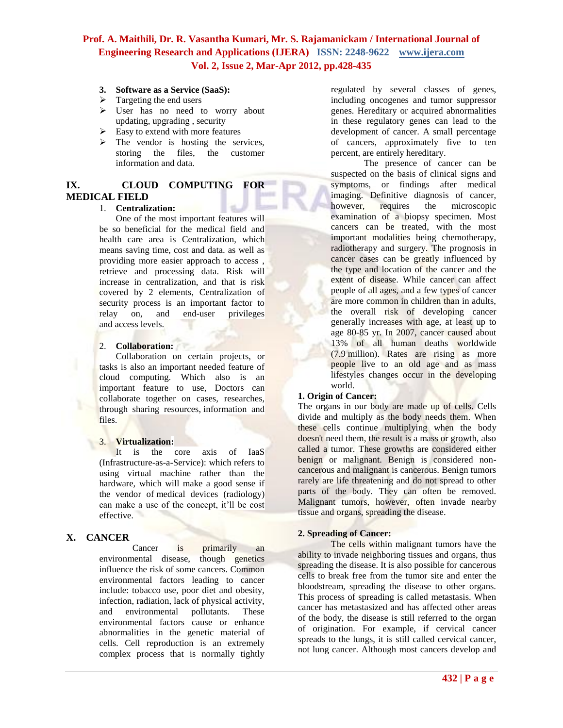- **3. Software as a Service (SaaS):**
- $\triangleright$  Targeting the end users
- User has no need to worry about updating, upgrading , security
- $\triangleright$  Easy to extend with more features
- $\triangleright$  The vendor is hosting the services, storing the files, the customer information and data.

# **IX. CLOUD COMPUTING FOR MEDICAL FIELD**

#### 1. **Centralization:**

One of the most important features will be so beneficial for the medical field and health care area is Centralization, which means saving time, cost and data. as well as providing more easier approach to access , retrieve and processing data. Risk will increase in centralization, and that is risk covered by 2 elements, Centralization of security process is an important factor to relay on, and end-user privileges and access levels.

# 2. **Collaboration:**

Collaboration on certain projects, or tasks is also an important needed feature of cloud computing. Which also is an important feature to use, Doctors can collaborate together on cases, researches, through sharing resources, information and files.

### 3. **Virtualization:**

It is the core axis of IaaS (Infrastructure-as-a-Service): which refers to using virtual machine rather than the hardware, which will make a good sense if the vendor of medical devices (radiology) can make a use of the concept, it'll be cost effective.

# **X. CANCER**

Cancer is primarily an environmental disease, though genetics influence the risk of some cancers. Common environmental factors leading to cancer include: tobacco use, poor diet and obesity, infection, radiation, lack of physical activity, and environmental pollutants. These environmental factors cause or enhance abnormalities in the genetic material of cells. Cell reproduction is an extremely complex process that is normally tightly regulated by several classes of genes, including oncogenes and tumor suppressor genes. Hereditary or acquired abnormalities in these regulatory genes can lead to the development of cancer. A small percentage of cancers, approximately five to ten percent, are entirely hereditary.

The presence of cancer can be suspected on the basis of clinical signs and symptoms, or findings after medical imaging. Definitive diagnosis of cancer, however, requires the microscopic examination of a biopsy specimen. Most cancers can be treated, with the most important modalities being chemotherapy, radiotherapy and surgery. The prognosis in cancer cases can be greatly influenced by the type and location of the cancer and the extent of disease. While cancer can affect people of all ages, and a few types of cancer are more common in children than in adults, the overall risk of developing cancer generally increases with age, at least up to age 80-85 yr. In 2007, cancer caused about 13% of all human deaths worldwide (7.9 million). Rates are rising as more people live to an old age and as mass lifestyles changes occur in the developing world.

### **1. Origin of Cancer:**

The organs in our body are made up of cells. Cells divide and multiply as the body needs them. When these cells continue multiplying when the body doesn't need them, the result is a mass or growth, also called a tumor. These growths are considered either benign or malignant. Benign is considered noncancerous and malignant is cancerous. Benign tumors rarely are life threatening and do not spread to other parts of the body. They can often be removed. Malignant tumors, however, often invade nearby tissue and organs, spreading the disease.

### **2. Spreading of Cancer:**

The cells within malignant tumors have the ability to invade neighboring tissues and organs, thus spreading the disease. It is also possible for cancerous cells to break free from the tumor site and enter the bloodstream, spreading the disease to other organs. This process of spreading is called metastasis. When cancer has metastasized and has affected other areas of the body, the disease is still referred to the organ of origination. For example, if cervical cancer spreads to the lungs, it is still called cervical cancer, not [lung cancer.](http://cancer.about.com/od/lungcancer/a/typeslungcancer.htm) Although most cancers develop and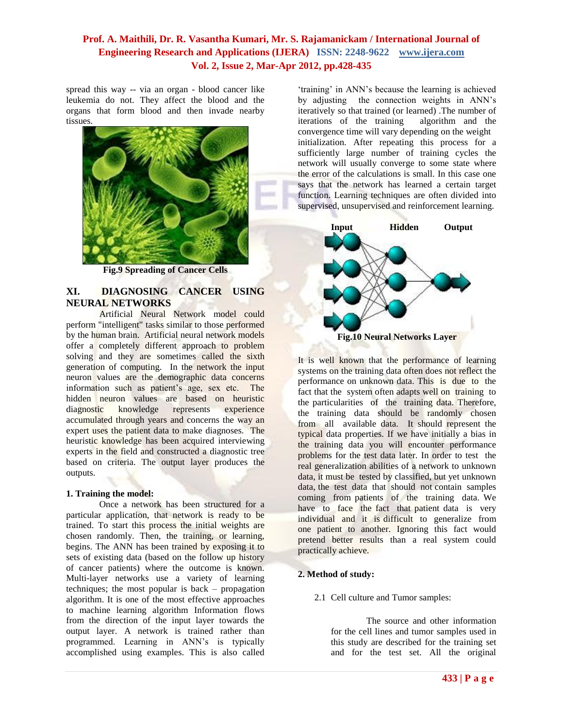spread this way -- via an organ - blood cancer like [leukemia](http://cancer.about.com/od/leukemia/a/whatisleukemia.htm) do not. They affect the blood and the organs that form blood and then invade nearby tissues.



**Fig.9 Spreading of Cancer Cells**

# **XI. DIAGNOSING CANCER USING NEURAL NETWORKS**

Artificial Neural Network model could perform "intelligent" tasks similar to those performed by the human brain. Artificial neural network models offer a completely different approach to problem solving and they are sometimes called the sixth generation of computing. In the network the input neuron values are the demographic data concerns information such as patient's age, sex etc. The hidden neuron values are based on heuristic<br>diagnostic knowledge represents experience diagnostic knowledge represents experience accumulated through years and concerns the way an expert uses the patient data to make diagnoses. The heuristic knowledge has been acquired interviewing experts in the field and constructed a diagnostic tree based on criteria. The output layer produces the outputs.

#### **1. Training the model:**

Once a network has been structured for a particular application, that network is ready to be trained. To start this process the initial weights are chosen randomly. Then, the training, or learning, begins. The ANN has been trained by exposing it to sets of existing data (based on the follow up history of cancer patients) where the outcome is known. Multi-layer networks use a variety of learning techniques; the most popular is back – propagation algorithm. It is one of the most effective approaches to machine learning algorithm Information flows from the direction of the input layer towards the output layer. A network is trained rather than programmed. Learning in ANN's is typically accomplished using examples. This is also called

'training' in ANN's because the learning is achieved by adjusting the connection weights in ANN's iteratively so that trained (or learned). The number of iterations of the training algorithm and the iterations of the training convergence time will vary depending on the weight initialization. After repeating this process for a sufficiently large number of training cycles the network will usually converge to some state where the error of the calculations is small. In this case one says that the network has learned a certain target function. Learning techniques are often divided into supervised, unsupervised and reinforcement learning.



It is well known that the performance of learning systems on the training data often does not reflect the performance on unknown data. This is due to the fact that the system often adapts well on training to the particularities of the training data. Therefore, the training data should be randomly chosen from all available data. It should represent the typical data properties. If we have initially a bias in the training data you will encounter performance problems for the test data later. In order to test the real generalization abilities of a network to unknown data, it must be tested by classified, but yet unknown data, the test data that should not contain samples coming from patients of the training data. We have to face the fact that patient data is very individual and it is difficult to generalize from one patient to another. Ignoring this fact would pretend better results than a real system could practically achieve.

# **2. Method of study:**

2.1 Cell culture and Tumor samples:

The source and other information for the cell lines and tumor samples used in this study are described for the training set and for the test set. All the original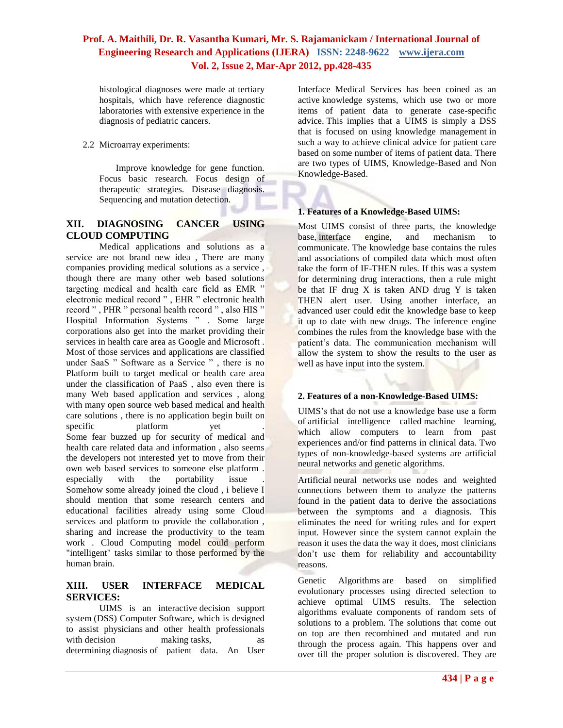histological diagnoses were made at tertiary hospitals, which have reference diagnostic laboratories with extensive experience in the diagnosis of pediatric cancers.

2.2 Microarray experiments:

Improve knowledge for gene function. Focus basic research. Focus design of therapeutic strategies. Disease diagnosis. Sequencing and mutation detection.

# **XII. DIAGNOSING CANCER USING CLOUD COMPUTING**

Medical applications and solutions as a service are not brand new idea , There are many companies providing medical solutions as a service , though there are many other web based solutions targeting medical and health care field as EMR " electronic medical record " , EHR " electronic health record " , PHR " personal health record " , also HIS " Hospital Information Systems " . Some large corporations also get into the market providing their services in health care area as Google and Microsoft . Most of those services and applications are classified under SaaS " Software as a Service " , there is no Platform built to target medical or health care area under the classification of PaaS , also even there is many Web based application and services , along with many open source web based medical and health care solutions , there is no application begin built on specific **platform** yet Some fear buzzed up for security of medical and health care related data and information , also seems the developers not interested yet to move from their own web based services to someone else platform . especially with the portability issue Somehow some already joined the cloud , i believe I should mention that some research centers and educational facilities already using some Cloud services and platform to provide the collaboration , sharing and increase the productivity to the team work . Cloud Computing model could perform "intelligent" tasks similar to those performed by the human brain.

# **XIII. USER INTERFACE MEDICAL SERVICES:**

UIMS is an interactive decision support system (DSS) Computer Software, which is designed to assist physicians and other health professionals with decision making tasks, as as determining diagnosis of patient data. An User

Interface Medical Services has been coined as an active knowledge systems, which use two or more items of patient data to generate case-specific advice. This implies that a UIMS is simply a DSS that is focused on using knowledge management in such a way to achieve clinical advice for patient care based on some number of items of patient data. There are two types of UIMS, Knowledge-Based and Non Knowledge-Based.

# **1. Features of a Knowledge-Based UIMS:**

Most UIMS consist of three parts, the knowledge base, interface engine, and mechanism to communicate. The knowledge base contains the rules and associations of compiled data which most often take the form of IF-THEN rules. If this was a system for determining drug interactions, then a rule might be that IF drug  $X$  is taken AND drug  $Y$  is taken THEN alert user. Using another interface, an advanced user could edit the knowledge base to keep it up to date with new drugs. The inference engine combines the rules from the knowledge base with the patient's data. The communication mechanism will allow the system to show the results to the user as well as have input into the system.

### **2. Features of a non-Knowledge-Based UIMS:**

UIMS's that do not use a knowledge base use a form of [artificial intelligence](http://en.wikipedia.org/wiki/Artificial_intelligence) called [machine learning,](http://en.wikipedia.org/wiki/Machine_learning) which allow computers to learn from past experiences and/or find patterns in clinical data. Two types of non-knowledge-based systems are artificial neural networks and genetic algorithms.

Artificial [neural networks](http://en.wikipedia.org/wiki/Neural_networks) use nodes and weighted connections between them to analyze the patterns found in the patient data to derive the associations between the symptoms and a diagnosis. This eliminates the need for writing rules and for expert input. However since the system cannot explain the reason it uses the data the way it does, most clinicians don't use them for reliability and accountability reasons.

[Genetic Algorithms](http://en.wikipedia.org/wiki/Genetic_Algorithms) are based on simplified evolutionary processes using directed selection to achieve optimal UIMS results. The selection algorithms evaluate components of random sets of solutions to a problem. The solutions that come out on top are then recombined and mutated and run through the process again. This happens over and over till the proper solution is discovered. They are